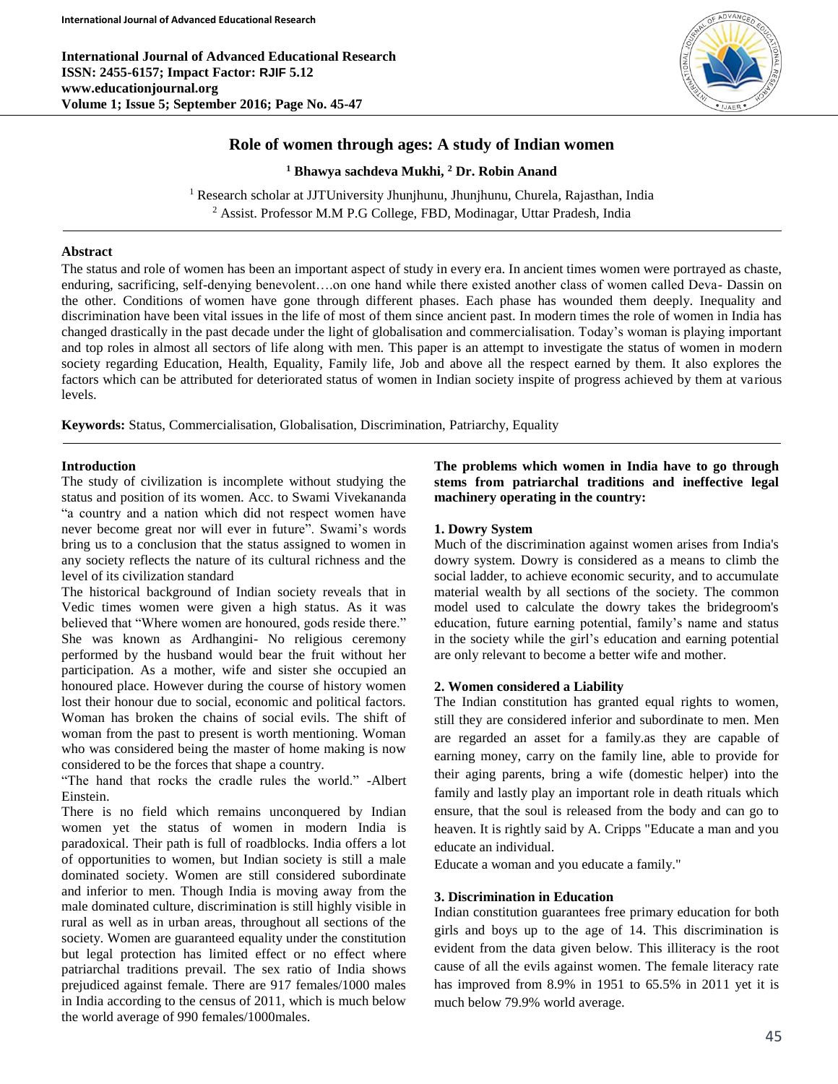**International Journal of Advanced Educational Research ISSN: 2455-6157; Impact Factor: RJIF 5.12 www.educationjournal.org Volume 1; Issue 5; September 2016; Page No. 45-47**



# **Role of women through ages: A study of Indian women**

**<sup>1</sup> Bhawya sachdeva Mukhi, <sup>2</sup> Dr. Robin Anand**

<sup>1</sup> Research scholar at JJTUniversity Jhunjhunu, Jhunjhunu, Churela, Rajasthan, India <sup>2</sup> Assist. Professor M.M P.G College, FBD, Modinagar, Uttar Pradesh, India

# **Abstract**

The status and role of women has been an important aspect of study in every era. In ancient times women were portrayed as chaste, enduring, sacrificing, self-denying benevolent….on one hand while there existed another class of women called Deva- Dassin on the other. Conditions of women have gone through different phases. Each phase has wounded them deeply. Inequality and discrimination have been vital issues in the life of most of them since ancient past. In modern times the role of women in India has changed drastically in the past decade under the light of globalisation and commercialisation. Today's woman is playing important and top roles in almost all sectors of life along with men. This paper is an attempt to investigate the status of women in modern society regarding Education, Health, Equality, Family life, Job and above all the respect earned by them. It also explores the factors which can be attributed for deteriorated status of women in Indian society inspite of progress achieved by them at various levels.

**Keywords:** Status, Commercialisation, Globalisation, Discrimination, Patriarchy, Equality

## **Introduction**

The study of civilization is incomplete without studying the status and position of its women. Acc. to Swami Vivekananda "a country and a nation which did not respect women have never become great nor will ever in future". Swami's words bring us to a conclusion that the status assigned to women in any society reflects the nature of its cultural richness and the level of its civilization standard

The historical background of Indian society reveals that in Vedic times women were given a high status. As it was believed that "Where women are honoured, gods reside there." She was known as Ardhangini- No religious ceremony performed by the husband would bear the fruit without her participation. As a mother, wife and sister she occupied an honoured place. However during the course of history women lost their honour due to social, economic and political factors. Woman has broken the chains of social evils. The shift of woman from the past to present is worth mentioning. Woman who was considered being the master of home making is now considered to be the forces that shape a country.

"The hand that rocks the cradle rules the world." -Albert Einstein.

There is no field which remains unconquered by Indian women yet the status of women in modern India is paradoxical. Their path is full of roadblocks. India offers a lot of opportunities to women, but Indian society is still a male dominated society. Women are still considered subordinate and inferior to men. Though India is moving away from the male dominated culture, discrimination is still highly visible in rural as well as in urban areas, throughout all sections of the society. Women are guaranteed equality under the constitution but legal protection has limited effect or no effect where patriarchal traditions prevail. The sex ratio of India shows prejudiced against female. There are 917 females/1000 males in India according to the census of 2011, which is much below the world average of 990 females/1000males.

# **The problems which women in India have to go through stems from patriarchal traditions and ineffective legal machinery operating in the country:**

## **1. Dowry System**

Much of the discrimination against women arises from India's dowry system. Dowry is considered as a means to climb the social ladder, to achieve economic security, and to accumulate material wealth by all sections of the society. The common model used to calculate the dowry takes the bridegroom's education, future earning potential, family's name and status in the society while the girl's education and earning potential are only relevant to become a better wife and mother.

#### **2. Women considered a Liability**

The Indian constitution has granted equal rights to women, still they are considered inferior and subordinate to men. Men are regarded an asset for a family.as they are capable of earning money, carry on the family line, able to provide for their aging parents, bring a wife (domestic helper) into the family and lastly play an important role in death rituals which ensure, that the soul is released from the body and can go to heaven. It is rightly said by A. Cripps "Educate a man and you educate an individual.

Educate a woman and you educate a family."

## **3. Discrimination in Education**

Indian constitution guarantees free primary education for both girls and boys up to the age of 14. This discrimination is evident from the data given below. This illiteracy is the root cause of all the evils against women. The female literacy rate has improved from 8.9% in 1951 to 65.5% in 2011 yet it is much below 79.9% world average.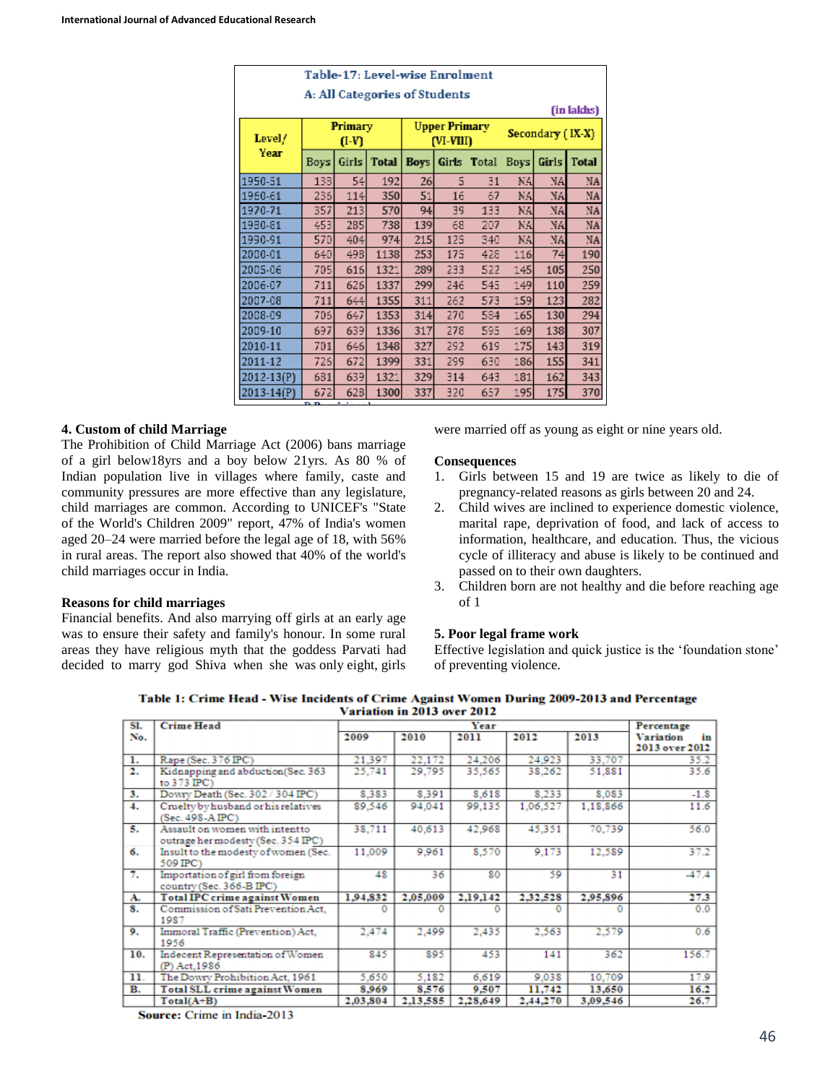| Table-17: Level-wise Enrolment |                      |            |              |                                   |     |             |                  |       |              |  |  |  |  |
|--------------------------------|----------------------|------------|--------------|-----------------------------------|-----|-------------|------------------|-------|--------------|--|--|--|--|
| A: All Categories of Students  |                      |            |              |                                   |     |             |                  |       |              |  |  |  |  |
| (in lakhs)                     |                      |            |              |                                   |     |             |                  |       |              |  |  |  |  |
| Level/                         | Primary<br>$(I-V)$   |            |              | <b>Upper Primary</b><br>(VI-VIII) |     |             | Secondary (IX-X) |       |              |  |  |  |  |
| Year                           | Boys                 | Girls      | <b>Total</b> | <b>Boys</b>                       |     | Girls Total | <b>Boys</b>      | Girls | <b>Total</b> |  |  |  |  |
| 1950-51                        | 138                  | 54         | 192          | 26                                | 5   | 31          | NA.              | NA.   | NA           |  |  |  |  |
| 1960-61                        | 236                  | 114        | 350          | 51                                | 16  | 67          | NA.              | NA.   | NA           |  |  |  |  |
| 1970-71                        | 357                  | 213        | 570          | 94                                | 39  | 133         | NA.              | NA.   | NA           |  |  |  |  |
| 1980-81                        | 453                  | 285        | 738          | 139                               | 68  | 207         | NA.              | NA.   | NA           |  |  |  |  |
| 1990-91                        | 570                  | 404        | 974          | 215                               | 125 | 340         | NA.              | NA.   | NA           |  |  |  |  |
| 2000-01                        | 640                  | 498        | 1138         | 253                               | 175 | 428         | 116              | 74    | 190          |  |  |  |  |
| 2005-06                        | 705                  | 616        | 1321         | 289                               | 233 | 522         | 145              | 105   | 250          |  |  |  |  |
| 2006-07                        | 711                  | 626        | 1337         | 299                               | 246 | 545         | 149              | 110   | 259          |  |  |  |  |
| 2007-08                        | 711                  | 644        | 1355         | 311                               | 262 | 573         | 159              | 123   | 282          |  |  |  |  |
| 2008-09                        | 706                  | 647        | 1353         | 314                               | 270 | 584         | 165              | 130   | 294          |  |  |  |  |
| 2009-10                        | 697                  | 639        | 1336         | 317                               | 278 | 595         | 169              | 138   | 307          |  |  |  |  |
| 2010-11                        | 701                  | 646        | 1348         | 327                               | 292 | 619         | 175              | 143   | 319          |  |  |  |  |
| 2011-12                        | 726                  | 672        | 1399         | 331                               | 299 | 630         | 186              | 155   | 341          |  |  |  |  |
| 2012-13(P)                     | 631                  | 639        | 1321         | 329                               | 314 | 643         | 181              | 162   | 343          |  |  |  |  |
| $2013 - 14(P)$                 | 672<br>$\sim$ $\sim$ | 628<br>. . | 1300         | 337                               | 320 | 657         | 195              | 175   | 370          |  |  |  |  |

# **4. Custom of child Marriage**

The Prohibition of Child Marriage Act (2006) bans marriage of a girl below18yrs and a boy below 21yrs. As 80 % of Indian population live in villages where family, caste and community pressures are more effective than any legislature, child marriages are common. According to UNICEF's "State of the World's Children 2009" report, 47% of India's women aged 20–24 were married before the legal age of 18, with 56% in rural areas. The report also showed that 40% of the world's child marriages occur in India.

## **Reasons for child marriages**

Financial benefits. And also marrying off girls at an early age was to ensure their safety and family's honour. In some rural areas they have religious myth that the goddess Parvati had decided to marry god Shiva when she was only eight, girls

were married off as young as eight or nine years old.

## **Consequences**

- 1. Girls between 15 and 19 are twice as likely to die of pregnancy-related reasons as girls between 20 and 24.
- 2. Child wives are inclined to experience domestic violence, marital rape, deprivation of food, and lack of access to information, healthcare, and education. Thus, the vicious cycle of illiteracy and abuse is likely to be continued and passed on to their own daughters.
- 3. Children born are not healthy and die before reaching age of 1

## **5. Poor legal frame work**

Effective legislation and quick justice is the 'foundation stone' of preventing violence.

Table 1: Crime Head - Wise Incidents of Crime Against Women During 2009-2013 and Percentage Variation in 2013 over 2012

| SI. | <b>Crime Head</b>                                                    |          | Year     |          |          |          |                                                        |  |  |
|-----|----------------------------------------------------------------------|----------|----------|----------|----------|----------|--------------------------------------------------------|--|--|
| No. |                                                                      | 2009     | 2010     | 2011     | 2012     | 2013     | Percentage<br><b>Variation</b><br>in<br>2013 over 2012 |  |  |
| ı.  | Rape (Sec. 376 IPC)                                                  | 21,397   | 22,172   | 24,206   | 24.923   | 33,707   | 35.2                                                   |  |  |
| 2.  | Kidnapping and abduction(Sec. 363<br>to 373 IPC)                     | 25.741   | 29,795   | 35.565   | 38.262   | 51.881   | 35.6                                                   |  |  |
| 3.  | Dowry Death (Sec. 302 / 304 IPC)                                     | 8.383    | 8.391    | 8.618    | 8.233    | 8.083    | $-1.8$                                                 |  |  |
| 4.  | Cruelty by husband or his relatives<br>(Sec. 498-AIPC)               | 89.546   | 94,041   | 99,135   | 1,06,527 | 1,18,866 | 11.6                                                   |  |  |
| 5.  | Assault on women with intentto<br>outrage her modesty (Sec. 354 IPC) | 38.711   | 40,613   | 42,968   | 45.351   | 70,739   | 56.0                                                   |  |  |
| б.  | Insult to the modesty of women (Sec.<br>509 IPC)                     | 11,009   | 9.961    | 8,570    | 9.173    | 12.589   | 37.2                                                   |  |  |
| 7.  | Importation of girl from foreign<br>country (Sec. 366-B IPC)         | 48       | 36       | 80       | 59       | 31       | $-47.4$                                                |  |  |
| A.  | <b>Total IPC crime against Women</b>                                 | 1,94.832 | 2,05,009 | 2,19,142 | 2,32,528 | 2,95,896 | 27.3                                                   |  |  |
| 8.  | Commission of Sati Prevention Act.<br>1987                           |          |          |          |          |          | 0.0                                                    |  |  |
| 9.  | Immoral Traffic (Prevention) Act.<br>1956                            | 2,474    | 2,499    | 2,435    | 2,563    | 2,579    | 0.6                                                    |  |  |
| 10. | Indecent Representation of Women<br>(P) Act, 1986                    | 845      | 895      | 453      | 141      | 362      | 156.7                                                  |  |  |
| 11. | The Dowry Prohibition Act, 1961                                      | 5.650    | 5.182    | 6,619    | 9.038    | 10,709   | 17.9                                                   |  |  |
| в.  | <b>Total SLL crime against Women</b>                                 | 8.969    | 8.576    | 9,507    | 11,742   | 13,650   | 16.2                                                   |  |  |
|     | $Total(A+B)$                                                         | 2.03.804 | 2,13,585 | 2,28,649 | 2.44.270 | 3,09,546 | 26.7                                                   |  |  |

Source: Crime in India-2013